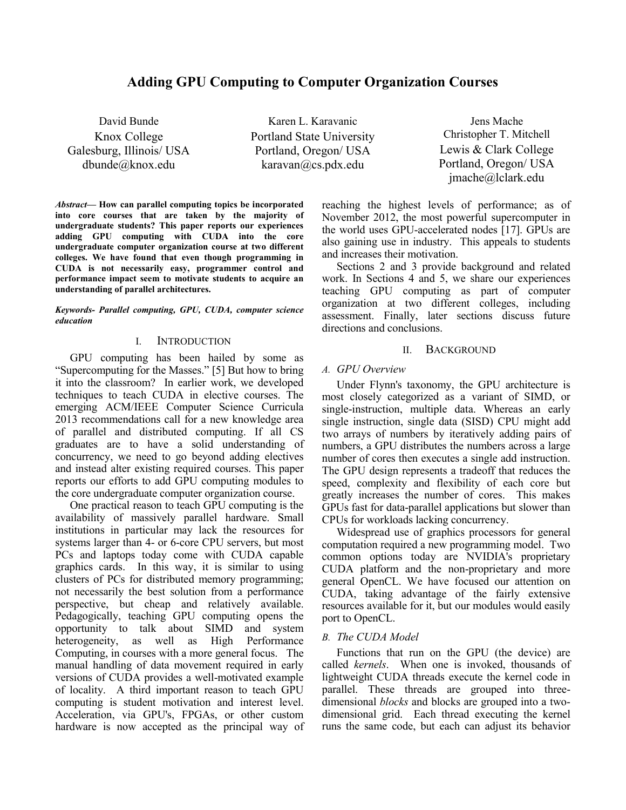# **Adding GPU Computing to Computer Organization Courses**

David Bunde Knox College Galesburg, Illinois/ USA dbunde@knox.edu

Karen L. Karavanic Portland State University Portland, Oregon/ USA karavan@cs.pdx.edu

Jens Mache Christopher T. Mitchell Lewis & Clark College Portland, Oregon/ USA jmache@lclark.edu

*Abstract***— How can parallel computing topics be incorporated into core courses that are taken by the majority of undergraduate students? This paper reports our experiences adding GPU computing with CUDA into the core undergraduate computer organization course at two different colleges. We have found that even though programming in CUDA is not necessarily easy, programmer control and performance impact seem to motivate students to acquire an understanding of parallel architectures.** 

#### *Keywords- Parallel computing, GPU, CUDA, computer science education*

### I. INTRODUCTION

GPU computing has been hailed by some as "Supercomputing for the Masses." [5] But how to bring it into the classroom? In earlier work, we developed techniques to teach CUDA in elective courses. The emerging ACM/IEEE Computer Science Curricula 2013 recommendations call for a new knowledge area of parallel and distributed computing. If all CS graduates are to have a solid understanding of concurrency, we need to go beyond adding electives and instead alter existing required courses. This paper reports our efforts to add GPU computing modules to the core undergraduate computer organization course.

One practical reason to teach GPU computing is the availability of massively parallel hardware. Small institutions in particular may lack the resources for systems larger than 4- or 6-core CPU servers, but most PCs and laptops today come with CUDA capable graphics cards. In this way, it is similar to using clusters of PCs for distributed memory programming; not necessarily the best solution from a performance perspective, but cheap and relatively available. Pedagogically, teaching GPU computing opens the opportunity to talk about SIMD and system heterogeneity, as well as High Performance Computing, in courses with a more general focus. The manual handling of data movement required in early versions of CUDA provides a well-motivated example of locality. A third important reason to teach GPU computing is student motivation and interest level. Acceleration, via GPU's, FPGAs, or other custom hardware is now accepted as the principal way of reaching the highest levels of performance; as of November 2012, the most powerful supercomputer in the world uses GPU-accelerated nodes [17]. GPUs are also gaining use in industry. This appeals to students and increases their motivation.

Sections 2 and 3 provide background and related work. In Sections 4 and 5, we share our experiences teaching GPU computing as part of computer organization at two different colleges, including assessment. Finally, later sections discuss future directions and conclusions.

### II. BACKGROUND

### *A. GPU Overview*

Under Flynn's taxonomy, the GPU architecture is most closely categorized as a variant of SIMD, or single-instruction, multiple data. Whereas an early single instruction, single data (SISD) CPU might add two arrays of numbers by iteratively adding pairs of numbers, a GPU distributes the numbers across a large number of cores then executes a single add instruction. The GPU design represents a tradeoff that reduces the speed, complexity and flexibility of each core but greatly increases the number of cores. This makes GPUs fast for data-parallel applications but slower than CPUs for workloads lacking concurrency.

Widespread use of graphics processors for general computation required a new programming model. Two common options today are NVIDIA's proprietary CUDA platform and the non-proprietary and more general OpenCL. We have focused our attention on CUDA, taking advantage of the fairly extensive resources available for it, but our modules would easily port to OpenCL.

### *B. The CUDA Model*

Functions that run on the GPU (the device) are called *kernels*. When one is invoked, thousands of lightweight CUDA threads execute the kernel code in parallel. These threads are grouped into threedimensional *blocks* and blocks are grouped into a twodimensional grid. Each thread executing the kernel runs the same code, but each can adjust its behavior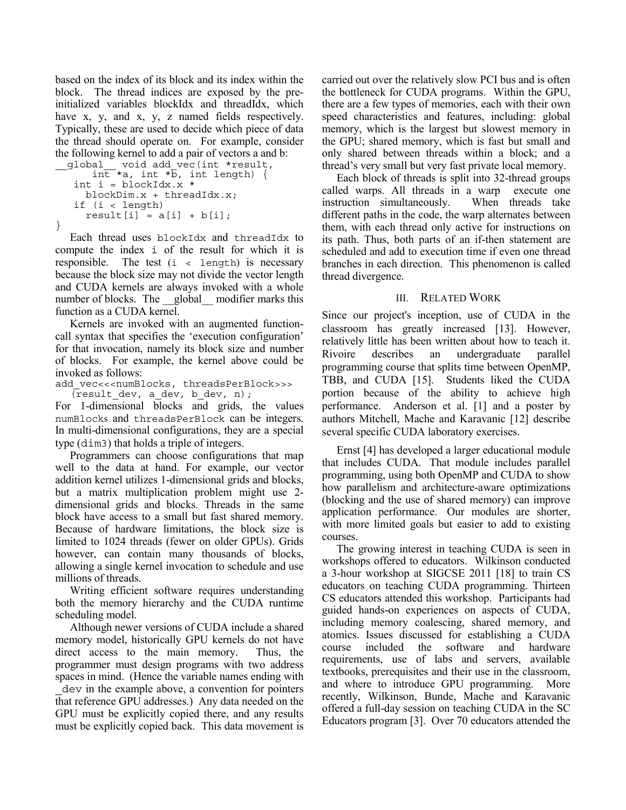based on the index of its block and its index within the block. The thread indices are exposed by the preinitialized variables blockIdx and threadIdx, which have x, y, and x, y, z named fields respectively. Typically, these are used to decide which piece of data the thread should operate on. For example, consider the following kernel to add a pair of vectors a and b:

```
global void add vec(int *result,
      int *a, int *\overline{b}, int length) {
    int i = blockIdx.x * 
      blockDim.x + threadIdx.x; 
    if (i < length) 
     result[i] = a[i] + b[i];}
```
Each thread uses blockIdx and threadIdx to compute the index i of the result for which it is responsible. The test (i < length) is necessary because the block size may not divide the vector length and CUDA kernels are always invoked with a whole number of blocks. The global modifier marks this function as a CUDA kernel.

Kernels are invoked with an augmented functioncall syntax that specifies the 'execution configuration' for that invocation, namely its block size and number of blocks. For example, the kernel above could be invoked as follows:

add\_vec<<<numBlocks, threadsPerBlock>>> (result\_dev, a\_dev, b\_dev, n);

For 1-dimensional blocks and grids, the values numBlocks and threadsPerBlock can be integers. In multi-dimensional configurations, they are a special type (dim3) that holds a triple of integers.

Programmers can choose configurations that map well to the data at hand. For example, our vector addition kernel utilizes 1-dimensional grids and blocks, but a matrix multiplication problem might use 2 dimensional grids and blocks. Threads in the same block have access to a small but fast shared memory. Because of hardware limitations, the block size is limited to 1024 threads (fewer on older GPUs). Grids however, can contain many thousands of blocks, allowing a single kernel invocation to schedule and use millions of threads.

Writing efficient software requires understanding both the memory hierarchy and the CUDA runtime scheduling model.

Although newer versions of CUDA include a shared memory model, historically GPU kernels do not have direct access to the main memory. Thus, the programmer must design programs with two address spaces in mind. (Hence the variable names ending with \_dev in the example above, a convention for pointers that reference GPU addresses.) Any data needed on the GPU must be explicitly copied there, and any results must be explicitly copied back. This data movement is

carried out over the relatively slow PCI bus and is often the bottleneck for CUDA programs. Within the GPU, there are a few types of memories, each with their own speed characteristics and features, including: global memory, which is the largest but slowest memory in the GPU; shared memory, which is fast but small and only shared between threads within a block; and a thread's very small but very fast private local memory.

Each block of threads is split into 32-thread groups called warps. All threads in a warp execute one instruction simultaneously. When threads take different paths in the code, the warp alternates between them, with each thread only active for instructions on its path. Thus, both parts of an if-then statement are scheduled and add to execution time if even one thread branches in each direction. This phenomenon is called thread divergence.

# III. RELATED WORK

Since our project's inception, use of CUDA in the classroom has greatly increased [13]. However, relatively little has been written about how to teach it. Rivoire describes an undergraduate parallel programming course that splits time between OpenMP, TBB, and CUDA [15]. Students liked the CUDA portion because of the ability to achieve high performance. Anderson et al. [1] and a poster by authors Mitchell, Mache and Karavanic [12] describe several specific CUDA laboratory exercises.

Ernst [4] has developed a larger educational module that includes CUDA. That module includes parallel programming, using both OpenMP and CUDA to show how parallelism and architecture-aware optimizations (blocking and the use of shared memory) can improve application performance. Our modules are shorter, with more limited goals but easier to add to existing courses.

The growing interest in teaching CUDA is seen in workshops offered to educators. Wilkinson conducted a 3-hour workshop at SIGCSE 2011 [18] to train CS educators on teaching CUDA programming. Thirteen CS educators attended this workshop. Participants had guided hands-on experiences on aspects of CUDA, including memory coalescing, shared memory, and atomics. Issues discussed for establishing a CUDA course included the software and hardware requirements, use of labs and servers, available textbooks, prerequisites and their use in the classroom, and where to introduce GPU programming. More recently, Wilkinson, Bunde, Mache and Karavanic offered a full-day session on teaching CUDA in the SC Educators program [3]. Over 70 educators attended the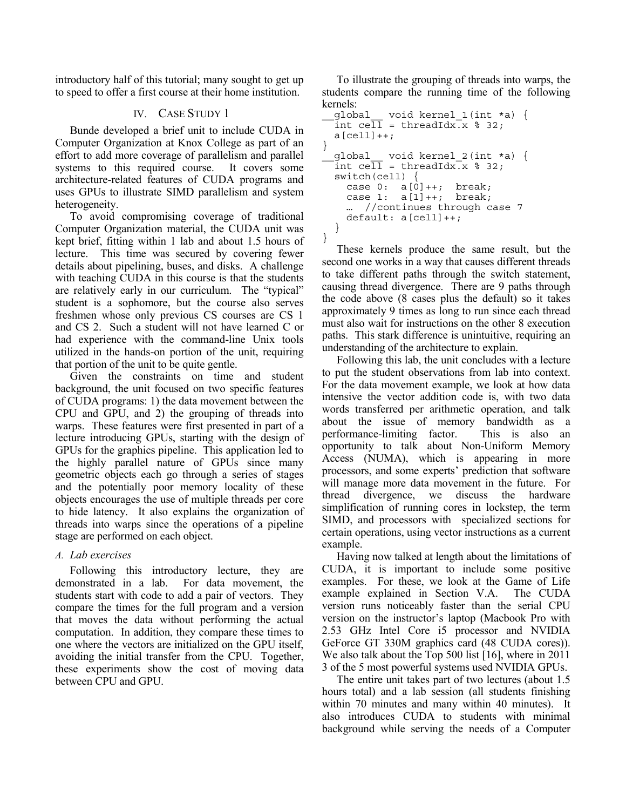introductory half of this tutorial; many sought to get up to speed to offer a first course at their home institution.

## IV. CASE STUDY 1

Bunde developed a brief unit to include CUDA in Computer Organization at Knox College as part of an effort to add more coverage of parallelism and parallel systems to this required course. It covers some architecture-related features of CUDA programs and uses GPUs to illustrate SIMD parallelism and system heterogeneity.

To avoid compromising coverage of traditional Computer Organization material, the CUDA unit was kept brief, fitting within 1 lab and about 1.5 hours of lecture. This time was secured by covering fewer details about pipelining, buses, and disks. A challenge with teaching CUDA in this course is that the students are relatively early in our curriculum. The "typical" student is a sophomore, but the course also serves freshmen whose only previous CS courses are CS 1 and CS 2. Such a student will not have learned C or had experience with the command-line Unix tools utilized in the hands-on portion of the unit, requiring that portion of the unit to be quite gentle.

Given the constraints on time and student background, the unit focused on two specific features of CUDA programs: 1) the data movement between the CPU and GPU, and 2) the grouping of threads into warps. These features were first presented in part of a lecture introducing GPUs, starting with the design of GPUs for the graphics pipeline. This application led to the highly parallel nature of GPUs since many geometric objects each go through a series of stages and the potentially poor memory locality of these objects encourages the use of multiple threads per core to hide latency. It also explains the organization of threads into warps since the operations of a pipeline stage are performed on each object.

### *A. Lab exercises*

Following this introductory lecture, they are demonstrated in a lab. For data movement, the students start with code to add a pair of vectors. They compare the times for the full program and a version that moves the data without performing the actual computation. In addition, they compare these times to one where the vectors are initialized on the GPU itself, avoiding the initial transfer from the CPU. Together, these experiments show the cost of moving data between CPU and GPU.

To illustrate the grouping of threads into warps, the students compare the running time of the following

```
kernels:<br>global
             void kernel 1(int *a) {
  int cell = threadIdx.x \frac{1}{8} 32;
  a[cell]+;
} 
global void kernel 2(int *a) {
\overline{\phantom{a}} int cell = threadIdx.x % 32;
   switch(cell) { 
    case 0: a[0]+f; break;case 1: a[1]++; break;
        … //continues through case 7 
     default: a[cell]++; 
   } 
}
```
These kernels produce the same result, but the second one works in a way that causes different threads to take different paths through the switch statement, causing thread divergence. There are 9 paths through the code above (8 cases plus the default) so it takes approximately 9 times as long to run since each thread must also wait for instructions on the other 8 execution paths. This stark difference is unintuitive, requiring an understanding of the architecture to explain.

Following this lab, the unit concludes with a lecture to put the student observations from lab into context. For the data movement example, we look at how data intensive the vector addition code is, with two data words transferred per arithmetic operation, and talk about the issue of memory bandwidth as a performance-limiting factor. This is also an opportunity to talk about Non-Uniform Memory Access (NUMA), which is appearing in more processors, and some experts' prediction that software will manage more data movement in the future. For thread divergence, we discuss the hardware simplification of running cores in lockstep, the term SIMD, and processors with specialized sections for certain operations, using vector instructions as a current example.

Having now talked at length about the limitations of CUDA, it is important to include some positive examples. For these, we look at the Game of Life example explained in Section V.A. The CUDA version runs noticeably faster than the serial CPU version on the instructor's laptop (Macbook Pro with 2.53 GHz Intel Core i5 processor and NVIDIA GeForce GT 330M graphics card (48 CUDA cores)). We also talk about the Top 500 list [16], where in 2011 3 of the 5 most powerful systems used NVIDIA GPUs.

The entire unit takes part of two lectures (about 1.5 hours total) and a lab session (all students finishing within 70 minutes and many within 40 minutes). It also introduces CUDA to students with minimal background while serving the needs of a Computer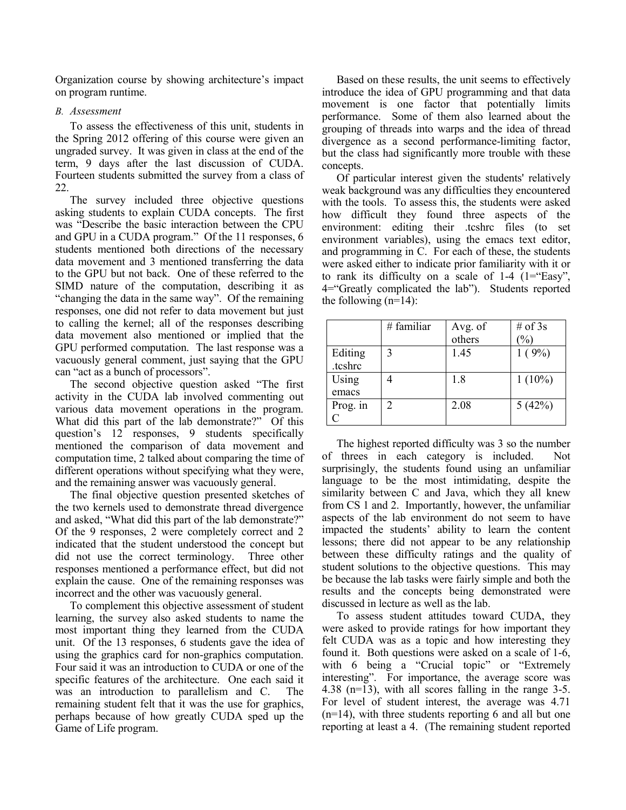Organization course by showing architecture's impact on program runtime.

#### *B. Assessment*

To assess the effectiveness of this unit, students in the Spring 2012 offering of this course were given an ungraded survey. It was given in class at the end of the term, 9 days after the last discussion of CUDA. Fourteen students submitted the survey from a class of 22.

The survey included three objective questions asking students to explain CUDA concepts. The first was "Describe the basic interaction between the CPU and GPU in a CUDA program." Of the 11 responses, 6 students mentioned both directions of the necessary data movement and 3 mentioned transferring the data to the GPU but not back. One of these referred to the SIMD nature of the computation, describing it as "changing the data in the same way". Of the remaining responses, one did not refer to data movement but just to calling the kernel; all of the responses describing data movement also mentioned or implied that the GPU performed computation. The last response was a vacuously general comment, just saying that the GPU can "act as a bunch of processors".

The second objective question asked "The first activity in the CUDA lab involved commenting out various data movement operations in the program. What did this part of the lab demonstrate?" Of this question's 12 responses, 9 students specifically mentioned the comparison of data movement and computation time, 2 talked about comparing the time of different operations without specifying what they were, and the remaining answer was vacuously general.

The final objective question presented sketches of the two kernels used to demonstrate thread divergence and asked, "What did this part of the lab demonstrate?" Of the 9 responses, 2 were completely correct and 2 indicated that the student understood the concept but did not use the correct terminology. Three other responses mentioned a performance effect, but did not explain the cause. One of the remaining responses was incorrect and the other was vacuously general.

To complement this objective assessment of student learning, the survey also asked students to name the most important thing they learned from the CUDA unit. Of the 13 responses, 6 students gave the idea of using the graphics card for non-graphics computation. Four said it was an introduction to CUDA or one of the specific features of the architecture. One each said it was an introduction to parallelism and C. The remaining student felt that it was the use for graphics, perhaps because of how greatly CUDA sped up the Game of Life program.

Based on these results, the unit seems to effectively introduce the idea of GPU programming and that data movement is one factor that potentially limits performance. Some of them also learned about the grouping of threads into warps and the idea of thread divergence as a second performance-limiting factor, but the class had significantly more trouble with these concepts.

Of particular interest given the students' relatively weak background was any difficulties they encountered with the tools. To assess this, the students were asked how difficult they found three aspects of the environment: editing their .tcshrc files (to set environment variables), using the emacs text editor, and programming in C. For each of these, the students were asked either to indicate prior familiarity with it or to rank its difficulty on a scale of  $1-4$  ( $1=$ "Easy", 4="Greatly complicated the lab"). Students reported the following  $(n=14)$ :

|          | # familiar | Avg. of<br>others | # of $3s$<br>$\left(\frac{0}{0}\right)$ |
|----------|------------|-------------------|-----------------------------------------|
|          |            |                   |                                         |
| Editing  |            | 1.45              | 1(9%)                                   |
| .tcshrc  |            |                   |                                         |
| Using    |            | 1.8               | $1(10\%)$                               |
| emacs    |            |                   |                                         |
| Prog. in | 2          | 2.08              | 5(42%)                                  |
|          |            |                   |                                         |

The highest reported difficulty was 3 so the number of threes in each category is included. Not surprisingly, the students found using an unfamiliar language to be the most intimidating, despite the similarity between C and Java, which they all knew from CS 1 and 2. Importantly, however, the unfamiliar aspects of the lab environment do not seem to have impacted the students' ability to learn the content lessons; there did not appear to be any relationship between these difficulty ratings and the quality of student solutions to the objective questions. This may be because the lab tasks were fairly simple and both the results and the concepts being demonstrated were discussed in lecture as well as the lab.

To assess student attitudes toward CUDA, they were asked to provide ratings for how important they felt CUDA was as a topic and how interesting they found it. Both questions were asked on a scale of 1-6, with 6 being a "Crucial topic" or "Extremely interesting". For importance, the average score was 4.38 (n=13), with all scores falling in the range 3-5. For level of student interest, the average was 4.71 (n=14), with three students reporting 6 and all but one reporting at least a 4. (The remaining student reported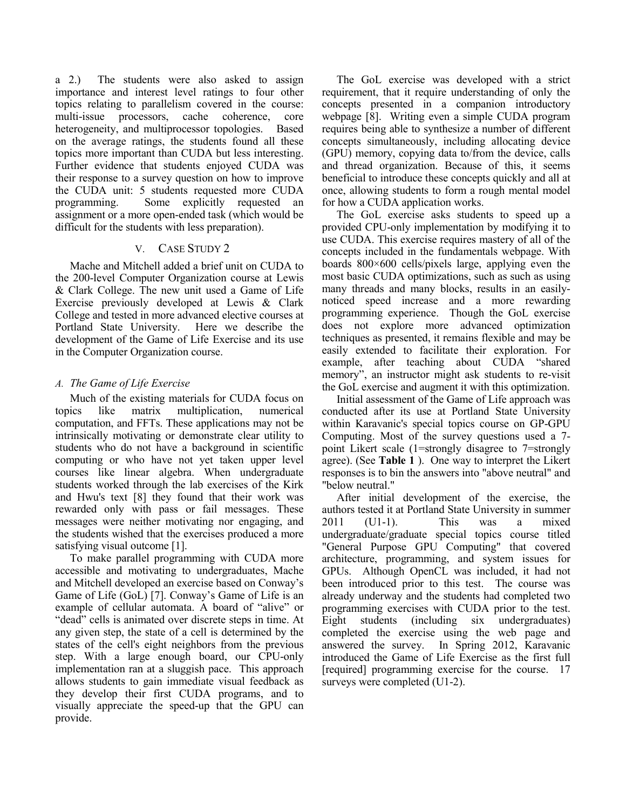a 2.) The students were also asked to assign importance and interest level ratings to four other topics relating to parallelism covered in the course: multi-issue processors, cache coherence, core heterogeneity, and multiprocessor topologies. Based on the average ratings, the students found all these topics more important than CUDA but less interesting. Further evidence that students enjoyed CUDA was their response to a survey question on how to improve the CUDA unit: 5 students requested more CUDA programming. Some explicitly requested an assignment or a more open-ended task (which would be difficult for the students with less preparation).

### V. CASE STUDY 2

Mache and Mitchell added a brief unit on CUDA to the 200-level Computer Organization course at Lewis & Clark College. The new unit used a Game of Life Exercise previously developed at Lewis & Clark College and tested in more advanced elective courses at Portland State University. Here we describe the development of the Game of Life Exercise and its use in the Computer Organization course.

### *A. The Game of Life Exercise*

Much of the existing materials for CUDA focus on topics like matrix multiplication, numerical computation, and FFTs. These applications may not be intrinsically motivating or demonstrate clear utility to students who do not have a background in scientific computing or who have not yet taken upper level courses like linear algebra. When undergraduate students worked through the lab exercises of the Kirk and Hwu's text [8] they found that their work was rewarded only with pass or fail messages. These messages were neither motivating nor engaging, and the students wished that the exercises produced a more satisfying visual outcome [1].

To make parallel programming with CUDA more accessible and motivating to undergraduates, Mache and Mitchell developed an exercise based on Conway's Game of Life (GoL) [7]. Conway's Game of Life is an example of cellular automata. A board of "alive" or "dead" cells is animated over discrete steps in time. At any given step, the state of a cell is determined by the states of the cell's eight neighbors from the previous step. With a large enough board, our CPU-only implementation ran at a sluggish pace. This approach allows students to gain immediate visual feedback as they develop their first CUDA programs, and to visually appreciate the speed-up that the GPU can provide.

The GoL exercise was developed with a strict requirement, that it require understanding of only the concepts presented in a companion introductory webpage [8]. Writing even a simple CUDA program requires being able to synthesize a number of different concepts simultaneously, including allocating device (GPU) memory, copying data to/from the device, calls and thread organization. Because of this, it seems beneficial to introduce these concepts quickly and all at once, allowing students to form a rough mental model for how a CUDA application works.

The GoL exercise asks students to speed up a provided CPU-only implementation by modifying it to use CUDA. This exercise requires mastery of all of the concepts included in the fundamentals webpage. With boards 800×600 cells/pixels large, applying even the most basic CUDA optimizations, such as such as using many threads and many blocks, results in an easilynoticed speed increase and a more rewarding programming experience. Though the GoL exercise does not explore more advanced optimization techniques as presented, it remains flexible and may be easily extended to facilitate their exploration. For example, after teaching about CUDA "shared memory", an instructor might ask students to re-visit the GoL exercise and augment it with this optimization.

Initial assessment of the Game of Life approach was conducted after its use at Portland State University within Karavanic's special topics course on GP-GPU Computing. Most of the survey questions used a 7 point Likert scale (1=strongly disagree to 7=strongly agree). (See **Table 1** ). One way to interpret the Likert responses is to bin the answers into "above neutral" and "below neutral."

After initial development of the exercise, the authors tested it at Portland State University in summer 2011 (U1-1). This was a mixed undergraduate/graduate special topics course titled "General Purpose GPU Computing" that covered architecture, programming, and system issues for GPUs. Although OpenCL was included, it had not been introduced prior to this test. The course was already underway and the students had completed two programming exercises with CUDA prior to the test. Eight students (including six undergraduates) completed the exercise using the web page and answered the survey. In Spring 2012, Karavanic introduced the Game of Life Exercise as the first full [required] programming exercise for the course. 17 surveys were completed (U1-2).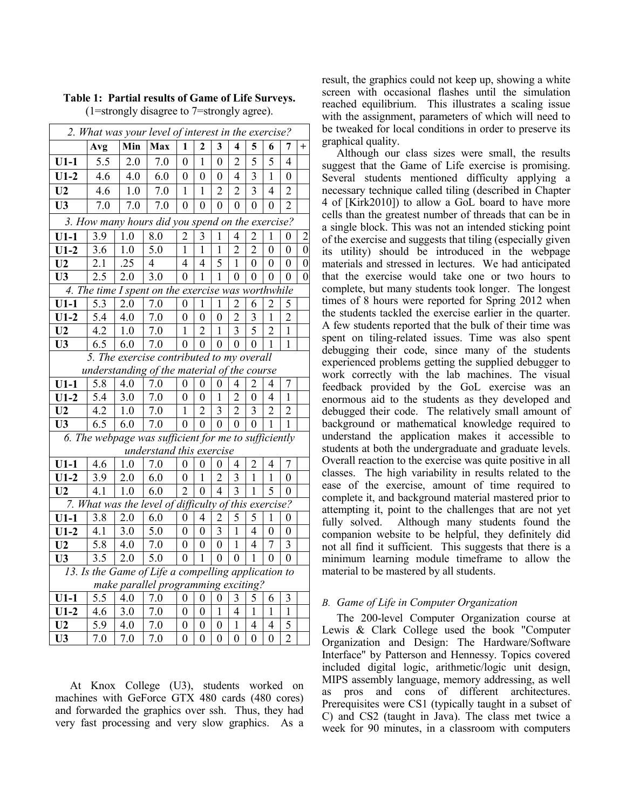| 2. What was your level of interest in the exercise?                                        |     |            |                                                      |                  |                         |                     |                         |                  |                  |                  |                  |  |
|--------------------------------------------------------------------------------------------|-----|------------|------------------------------------------------------|------------------|-------------------------|---------------------|-------------------------|------------------|------------------|------------------|------------------|--|
|                                                                                            | Avg | Min        | Max                                                  | $\mathbf{1}$     | $\overline{\mathbf{c}}$ | 3                   | $\overline{\mathbf{4}}$ | 5                | 6                | 7                | $+$              |  |
| $U1-1$                                                                                     | 5.5 | 2.0        | 7.0                                                  | $\overline{0}$   | $\mathbf{1}$            | $\overline{0}$      | $\overline{2}$          | 5                | 5                | $\overline{4}$   |                  |  |
| $U1-2$                                                                                     | 4.6 | 4.0        | 6.0                                                  | $\overline{0}$   | $\boldsymbol{0}$        | $\overline{0}$      | 4                       | $\overline{3}$   | $\mathbf{1}$     | $\boldsymbol{0}$ |                  |  |
| U <sub>2</sub>                                                                             | 4.6 | 1.0        | 7.0                                                  | $\mathbf{1}$     | 1                       | $\overline{2}$      | $\overline{2}$          | $\overline{3}$   | $\overline{4}$   | $\overline{2}$   |                  |  |
| U3                                                                                         | 7.0 | 7.0        | 7.0                                                  | $\boldsymbol{0}$ | 0                       | $\overline{0}$      | 0                       | $\overline{0}$   | 0                | $\overline{2}$   |                  |  |
| 3. How many hours did you spend on the exercise?                                           |     |            |                                                      |                  |                         |                     |                         |                  |                  |                  |                  |  |
| $U1-1$                                                                                     | 3.9 | 1.0        | 8.0                                                  | $\overline{2}$   | 3                       | 1                   | 4                       | $\overline{2}$   | 1                | $\boldsymbol{0}$ | $\overline{c}$   |  |
| $U1-2$                                                                                     | 3.6 | 1.0        | 5.0                                                  | $\mathbf{1}$     | 1                       | 1                   | $\overline{2}$          | $\overline{2}$   | $\boldsymbol{0}$ | $\overline{0}$   | $\overline{0}$   |  |
| U <sub>2</sub>                                                                             | 2.1 | .25        | 4                                                    | $\overline{4}$   | 4                       | 5                   | 1                       | 0                | 0                | $\boldsymbol{0}$ | $\boldsymbol{0}$ |  |
| U <sub>3</sub>                                                                             | 2.5 | 2.0        | 3.0                                                  | $\boldsymbol{0}$ | 1                       | 1                   | 0                       | 0                | 0                | 0                | $\boldsymbol{0}$ |  |
| The time I spent on the exercise was worthwhile                                            |     |            |                                                      |                  |                         |                     |                         |                  |                  |                  |                  |  |
| $U1-1$                                                                                     | 5.3 | 2.0        | 7.0                                                  | $\boldsymbol{0}$ | 1                       | 1                   | $\overline{c}$          | 6                | $\overline{c}$   | 5                |                  |  |
| $U1-2$                                                                                     | 5.4 | 4.0        | 7.0                                                  | $\boldsymbol{0}$ | 0                       | $\overline{0}$      | $\overline{2}$          | 3                | 1                | $\overline{2}$   |                  |  |
| U <sub>2</sub>                                                                             | 4.2 | 1.0        | 7.0                                                  | 1                | 2                       | 1                   | 3                       | 5                | 2                | $\mathbf{1}$     |                  |  |
| U <sub>3</sub>                                                                             | 6.5 | 6.0        | 7.0                                                  | $\overline{0}$   | 0                       | 0                   | 0                       | 0                | 1                | $\mathbf{1}$     |                  |  |
| 5. The exercise contributed to my overall                                                  |     |            |                                                      |                  |                         |                     |                         |                  |                  |                  |                  |  |
| understanding of the material of the course                                                |     |            |                                                      |                  |                         |                     |                         |                  |                  |                  |                  |  |
| $U1-1$                                                                                     | 5.8 | 4.0        | 7.0                                                  | $\overline{0}$   | 0                       | 0                   | 4                       | $\overline{2}$   | 4                | $\overline{7}$   |                  |  |
| $U1-2$                                                                                     | 5.4 | 3.0        | 7.0                                                  | $\boldsymbol{0}$ | 0                       | $\mathbf{1}$        | $\overline{2}$          | $\boldsymbol{0}$ | $\overline{4}$   | $\mathbf{1}$     |                  |  |
| U <sub>2</sub>                                                                             | 4.2 | 1.0        | 7.0                                                  | 1                | 2                       | 3                   | $\overline{2}$          | $\overline{3}$   | $\overline{2}$   | $\overline{2}$   |                  |  |
| U <sub>3</sub>                                                                             | 6.5 | 6.0        | 7.0                                                  | 0                | $\Omega$                | 0                   | $\theta$                | $\theta$         | 1                | 1                |                  |  |
|                                                                                            |     |            | 6. The webpage was sufficient for me to sufficiently |                  |                         |                     |                         |                  |                  |                  |                  |  |
| $U1-1$                                                                                     | 4.6 |            | understand this exercise<br>7.0                      | $\boldsymbol{0}$ |                         |                     |                         | $\overline{2}$   | $\overline{4}$   | 7                |                  |  |
| $U1-2$                                                                                     | 3.9 | 1.0<br>2.0 | 6.0                                                  | $\boldsymbol{0}$ | 0<br>1                  | 0<br>$\overline{2}$ | 4<br>3                  | $\mathbf{1}$     | 1                | $\boldsymbol{0}$ |                  |  |
| U <sub>2</sub>                                                                             | 4.1 | 1.0        | 6.0                                                  | $\overline{2}$   | 0                       | 4                   | $\overline{3}$          | 1                | 5                | 0                |                  |  |
| 7.                                                                                         |     |            | What was the level of difficulty of this exercise?   |                  |                         |                     |                         |                  |                  |                  |                  |  |
| $U1-1$                                                                                     | 3.8 | 2.0        | 6.0                                                  | $\boldsymbol{0}$ | 4                       | $\overline{2}$      | 5                       | 5                | 1                | 0                |                  |  |
| $U1-2$                                                                                     | 4.1 | 3.0        | 5.0                                                  | $\overline{0}$   | 0                       | 3                   | $\mathbf{1}$            | $\overline{4}$   | $\overline{0}$   | $\overline{0}$   |                  |  |
| U <sub>2</sub>                                                                             | 5.8 | 4.0        | 7.0                                                  | $\boldsymbol{0}$ | 0                       | $\overline{0}$      | $\mathbf{1}$            | $\overline{4}$   | $\overline{7}$   | $\overline{3}$   |                  |  |
| U <sub>3</sub>                                                                             | 3.5 | 2.0        | 5.0                                                  | $\overline{0}$   | 1                       | $\overline{0}$      | 0                       | $\mathbf{1}$     | 0                | 0                |                  |  |
|                                                                                            |     |            |                                                      |                  |                         |                     |                         |                  |                  |                  |                  |  |
| 13. Is the Game of Life a compelling application to<br>make parallel programming exciting? |     |            |                                                      |                  |                         |                     |                         |                  |                  |                  |                  |  |
| $U1-1$                                                                                     | 5.5 | 4.0        | 7.0                                                  | 0                | 0                       | 0                   | 3                       | 5                | 6                | 3                |                  |  |
| $U1-2$                                                                                     | 4.6 | 3.0        | 7.0                                                  | $\boldsymbol{0}$ | $\overline{0}$          | 1                   | 4                       | 1                | 1                | $\mathbf{1}$     |                  |  |
| U <sub>2</sub>                                                                             | 5.9 | 4.0        | 7.0                                                  | $\boldsymbol{0}$ | 0                       | $\boldsymbol{0}$    | 1                       | $\overline{4}$   | 4                | 5                |                  |  |
| U <sub>3</sub>                                                                             | 7.0 | 7.0        | 7.0                                                  | $\overline{0}$   | $\overline{0}$          | $\overline{0}$      | $\overline{0}$          | $\overline{0}$   | $\overline{0}$   | $\overline{2}$   |                  |  |

#### **Table 1: Partial results of Game of Life Surveys.** (1=strongly disagree to 7=strongly agree).

At Knox College (U3), students worked on machines with GeForce GTX 480 cards (480 cores) and forwarded the graphics over ssh. Thus, they had very fast processing and very slow graphics. As a

result, the graphics could not keep up, showing a white screen with occasional flashes until the simulation reached equilibrium. This illustrates a scaling issue with the assignment, parameters of which will need to be tweaked for local conditions in order to preserve its graphical quality.

Although our class sizes were small, the results suggest that the Game of Life exercise is promising. Several students mentioned difficulty applying a necessary technique called tiling (described in Chapter 4 of [Kirk2010]) to allow a GoL board to have more cells than the greatest number of threads that can be in a single block. This was not an intended sticking point of the exercise and suggests that tiling (especially given its utility) should be introduced in the webpage materials and stressed in lectures. We had anticipated that the exercise would take one or two hours to complete, but many students took longer. The longest times of 8 hours were reported for Spring 2012 when the students tackled the exercise earlier in the quarter. A few students reported that the bulk of their time was spent on tiling-related issues. Time was also spent debugging their code, since many of the students experienced problems getting the supplied debugger to work correctly with the lab machines. The visual feedback provided by the GoL exercise was an enormous aid to the students as they developed and debugged their code. The relatively small amount of background or mathematical knowledge required to understand the application makes it accessible to students at both the undergraduate and graduate levels. Overall reaction to the exercise was quite positive in all classes. The high variability in results related to the ease of the exercise, amount of time required to complete it, and background material mastered prior to attempting it, point to the challenges that are not yet fully solved. Although many students found the companion website to be helpful, they definitely did not all find it sufficient. This suggests that there is a minimum learning module timeframe to allow the material to be mastered by all students.

### *B. Game of Life in Computer Organization*

The 200-level Computer Organization course at Lewis & Clark College used the book "Computer Organization and Design: The Hardware/Software Interface" by Patterson and Hennessy. Topics covered included digital logic, arithmetic/logic unit design, MIPS assembly language, memory addressing, as well as pros and cons of different architectures. Prerequisites were CS1 (typically taught in a subset of C) and CS2 (taught in Java). The class met twice a week for 90 minutes, in a classroom with computers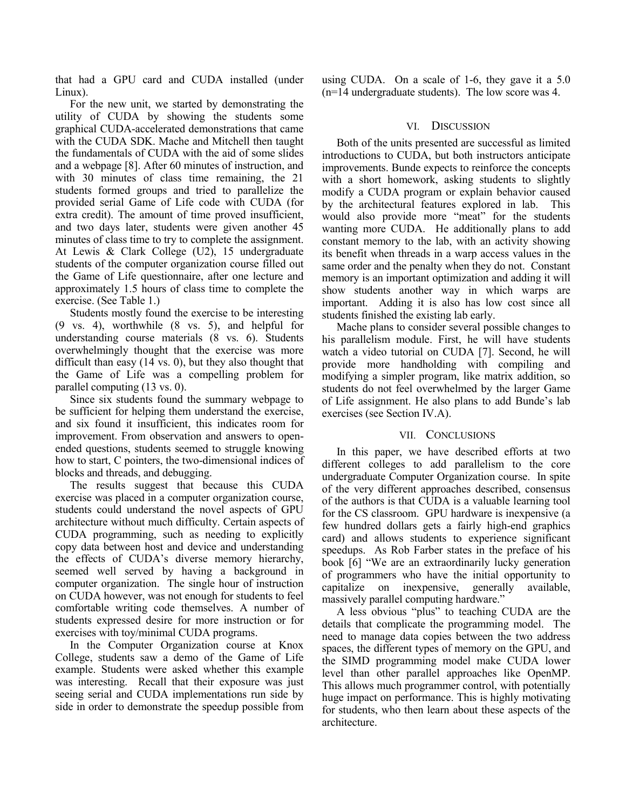that had a GPU card and CUDA installed (under Linux).

For the new unit, we started by demonstrating the utility of CUDA by showing the students some graphical CUDA-accelerated demonstrations that came with the CUDA SDK. Mache and Mitchell then taught the fundamentals of CUDA with the aid of some slides and a webpage [8]. After 60 minutes of instruction, and with 30 minutes of class time remaining, the 21 students formed groups and tried to parallelize the provided serial Game of Life code with CUDA (for extra credit). The amount of time proved insufficient, and two days later, students were given another 45 minutes of class time to try to complete the assignment. At Lewis & Clark College (U2), 15 undergraduate students of the computer organization course filled out the Game of Life questionnaire, after one lecture and approximately 1.5 hours of class time to complete the exercise. (See Table 1.)

Students mostly found the exercise to be interesting (9 vs. 4), worthwhile (8 vs. 5), and helpful for understanding course materials (8 vs. 6). Students overwhelmingly thought that the exercise was more difficult than easy (14 vs. 0), but they also thought that the Game of Life was a compelling problem for parallel computing (13 vs. 0).

Since six students found the summary webpage to be sufficient for helping them understand the exercise, and six found it insufficient, this indicates room for improvement. From observation and answers to openended questions, students seemed to struggle knowing how to start, C pointers, the two-dimensional indices of blocks and threads, and debugging.

The results suggest that because this CUDA exercise was placed in a computer organization course, students could understand the novel aspects of GPU architecture without much difficulty. Certain aspects of CUDA programming, such as needing to explicitly copy data between host and device and understanding the effects of CUDA's diverse memory hierarchy, seemed well served by having a background in computer organization. The single hour of instruction on CUDA however, was not enough for students to feel comfortable writing code themselves. A number of students expressed desire for more instruction or for exercises with toy/minimal CUDA programs.

In the Computer Organization course at Knox College, students saw a demo of the Game of Life example. Students were asked whether this example was interesting. Recall that their exposure was just seeing serial and CUDA implementations run side by side in order to demonstrate the speedup possible from using CUDA. On a scale of 1-6, they gave it a 5.0 (n=14 undergraduate students). The low score was 4.

#### VI. DISCUSSION

Both of the units presented are successful as limited introductions to CUDA, but both instructors anticipate improvements. Bunde expects to reinforce the concepts with a short homework, asking students to slightly modify a CUDA program or explain behavior caused by the architectural features explored in lab. This would also provide more "meat" for the students wanting more CUDA. He additionally plans to add constant memory to the lab, with an activity showing its benefit when threads in a warp access values in the same order and the penalty when they do not. Constant memory is an important optimization and adding it will show students another way in which warps are important. Adding it is also has low cost since all students finished the existing lab early.

Mache plans to consider several possible changes to his parallelism module. First, he will have students watch a video tutorial on CUDA [7]. Second, he will provide more handholding with compiling and modifying a simpler program, like matrix addition, so students do not feel overwhelmed by the larger Game of Life assignment. He also plans to add Bunde's lab exercises (see Section IV.A).

### VII. CONCLUSIONS

In this paper, we have described efforts at two different colleges to add parallelism to the core undergraduate Computer Organization course. In spite of the very different approaches described, consensus of the authors is that CUDA is a valuable learning tool for the CS classroom. GPU hardware is inexpensive (a few hundred dollars gets a fairly high-end graphics card) and allows students to experience significant speedups. As Rob Farber states in the preface of his book [6] "We are an extraordinarily lucky generation of programmers who have the initial opportunity to capitalize on inexpensive, generally available, massively parallel computing hardware."

A less obvious "plus" to teaching CUDA are the details that complicate the programming model. The need to manage data copies between the two address spaces, the different types of memory on the GPU, and the SIMD programming model make CUDA lower level than other parallel approaches like OpenMP. This allows much programmer control, with potentially huge impact on performance. This is highly motivating for students, who then learn about these aspects of the architecture.